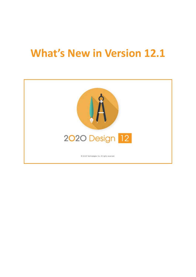# <span id="page-0-0"></span>**What's New in Version 12.1**

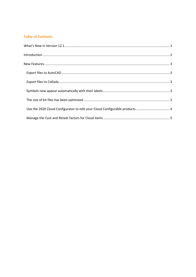#### **Table of Contents**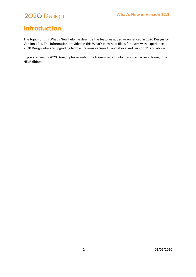### <span id="page-2-0"></span>**Introduction**

The topics of this What's New help file describe the features added or enhanced in 2020 Design for Version 12.1. The information provided in this What's New help file is for users with experience in 2020 Design who are upgrading from a previous version 10 and above and version 11 and above.

If you are new to 2020 Design, please watch the training videos which you can access through the HELP ribbon.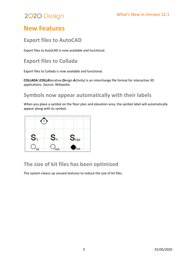### <span id="page-3-0"></span>**New Features**

#### <span id="page-3-1"></span>**Export files to AutoCAD**

Export files to AutoCAD is now available and functional.

#### <span id="page-3-2"></span>**Export files to Collada**

Export files to Collada is now available and functional.

**COLLADA** (*COLLA*borative *D*esign *A*ctivity) is an interchange file format for interactive 3D applications. Source: Wikipedia

#### <span id="page-3-3"></span>**Symbols now appear automatically with their labels**

When you place a symbol on the floor plan and elevation area, the symbol label will automatically appear along with its symbol.



#### <span id="page-3-4"></span>**The size of kit files has been optimized**

The system cleans up unused textures to reduce the size of kit files.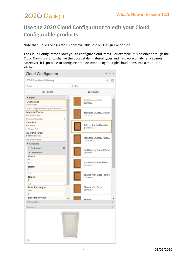### <span id="page-4-0"></span>**Use the 2020 Cloud Configurator to edit your Cloud Configurable products**

Note that Cloud Configurator is only available in 2020 Design live edition.

The Cloud Configurator allows you to configure cloud items. For example, it is possible through the Cloud Configurator to change the doors style, material types and hardware of kitchen cabinets. Moreover, it is possible to configure projects containing multiple cloud items into a multi-tone kitchen.

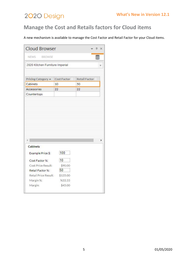#### <span id="page-5-0"></span>**Manage the Cost and Retails factors for Cloud items**

A new mechanism is available to manage the Cost Factor and Retail Factor for your Cloud items.

| <b>Cloud Browser</b>            |                   |                      | · <b>4</b> × |
|---------------------------------|-------------------|----------------------|--------------|
| NEWS BROWSE                     |                   |                      |              |
| 2020 Kitchen Furniture Imperial |                   |                      |              |
|                                 |                   |                      |              |
| Pricing Category <              | Cost Factor       | <b>Retail Factor</b> |              |
| Cabinets                        | 10                | 50                   |              |
| Accessories                     | 22                | 22                   |              |
| Countertops                     |                   |                      |              |
|                                 |                   |                      |              |
| <b>Cabinets</b>                 |                   |                      |              |
| Example Price \$:               | 100               |                      |              |
| Cost Factor %:                  | 10                |                      |              |
| Cost Price Result:              | \$90.00           |                      |              |
| Retail Factor %:                | 50                |                      |              |
| Retail Price Result:            | \$135.00          |                      |              |
| Margin %:<br>Margin:            | %33.33<br>\$45.00 |                      |              |